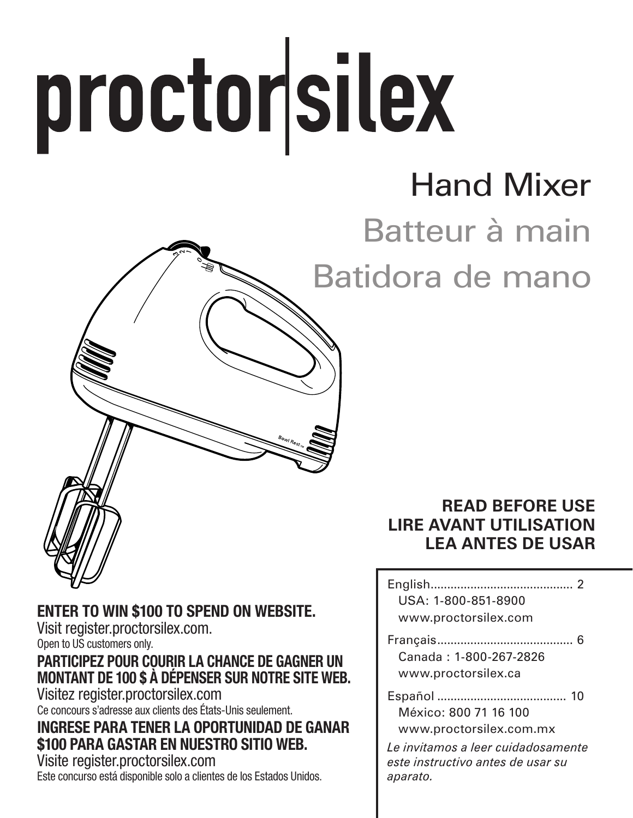# proctorsilex

# Hand Mixer

# Batteur à main

Batidora de mano

#### **READ BEFORE USE LIRE AVANT UTILISATION LEA ANTES DE USAR**

| USA: 1-800-851-8900<br>www.proctorsilex.com                                         |
|-------------------------------------------------------------------------------------|
| Canada · 1-800-267-2826<br>www.proctorsilex.ca                                      |
| México: 800 71 16 100<br>www.proctorsilex.com.mx                                    |
| Le invitamos a leer cuidadosamente<br>este instructivo antes de usar su<br>anarato. |

#### ENTER TO WIN \$100 TO SPEND ON WEBSITE.

Visit register.proctorsilex.com. Open to US customers only.

#### PARTICIPEZ POUR COURIR LA CHANCE DE GAGNER UN MONTANT DE 100 \$ À DÉPENSER SUR NOTRE SITE WEB.

Visitez register.proctorsilex.com Ce concours s'adresse aux clients des États-Unis seulement.

#### INGRESE PARA TENER LA OPORTUNIDAD DE GANAR \$100 PARA GASTAR EN NUESTRO SITIO WEB.

Visite register.proctorsilex.com Este concurso está disponible solo a clientes de los Estados Unidos.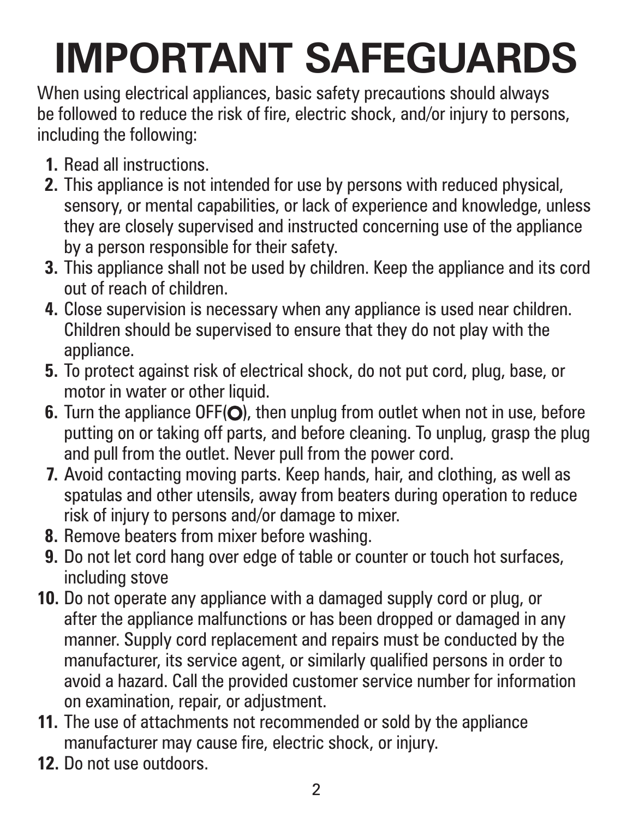# **IMPORTANT SAFEGUARDS**

When using electrical appliances, basic safety precautions should always be followed to reduce the risk of fire, electric shock, and/or injury to persons, including the following:

- **1.** Read all instructions.
- **2.** This appliance is not intended for use by persons with reduced physical, sensory, or mental capabilities, or lack of experience and knowledge, unless they are closely supervised and instructed concerning use of the appliance by a person responsible for their safety.
- **3.** This appliance shall not be used by children. Keep the appliance and its cord out of reach of children.
- **4.** Close supervision is necessary when any appliance is used near children. Children should be supervised to ensure that they do not play with the appliance.
- **5.** To protect against risk of electrical shock, do not put cord, plug, base, or motor in water or other liquid.
- **6.** Turn the appliance OFF(O), then unplug from outlet when not in use, before putting on or taking off parts, and before cleaning. To unplug, grasp the plug and pull from the outlet. Never pull from the power cord.
- **7.** Avoid contacting moving parts. Keep hands, hair, and clothing, as well as spatulas and other utensils, away from beaters during operation to reduce risk of injury to persons and/or damage to mixer.
- **8.** Remove beaters from mixer before washing.
- **9.** Do not let cord hang over edge of table or counter or touch hot surfaces, including stove
- **10.** Do not operate any appliance with a damaged supply cord or plug, or after the appliance malfunctions or has been dropped or damaged in any manner. Supply cord replacement and repairs must be conducted by the manufacturer, its service agent, or similarly qualified persons in order to avoid a hazard. Call the provided customer service number for information on examination, repair, or adjustment.
- **11.** The use of attachments not recommended or sold by the appliance manufacturer may cause fire, electric shock, or injury.
- **12.** Do not use outdoors.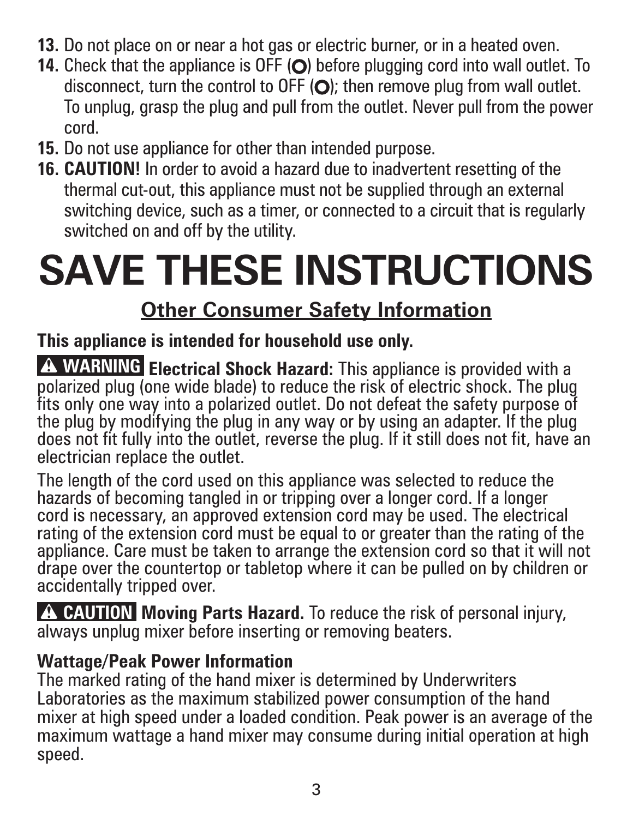- **13.** Do not place on or near a hot gas or electric burner, or in a heated oven.
- **14.** Check that the appliance is OFF (O) before plugging cord into wall outlet. To disconnect, turn the control to OFF  $\langle \bigcirc \rangle$ ; then remove plug from wall outlet. To unplug, grasp the plug and pull from the outlet. Never pull from the power cord.
- **15.** Do not use appliance for other than intended purpose.
- **16. CAUTION!** In order to avoid a hazard due to inadvertent resetting of the thermal cut-out, this appliance must not be supplied through an external switching device, such as a timer, or connected to a circuit that is regularly switched on and off by the utility.

# **SAVE THESE INSTRUCTIONS**

#### **Other Consumer Safety Information**

#### **This appliance is intended for household use only.**

**A WARNING Electrical Shock Hazard:** This appliance is provided with a polarized plug (one wide blade) to reduce the risk of electric shock. The plug fits only one way into a polarized outlet. Do not defeat the safety purpose of the plug by modifying the plug in any way or by using an adapter. If the plug does not fit fully into the outlet, reverse the plug. If it still does not fit, have an electrician replace the outlet.

The length of the cord used on this appliance was selected to reduce the hazards of becoming tangled in or tripping over a longer cord. If a longer cord is necessary, an approved extension cord may be used. The electrical rating of the extension cord must be equal to or greater than the rating of the appliance. Care must be taken to arrange the extension cord so that it will not drape over the countertop or tabletop where it can be pulled on by children or accidentally tripped over.

**A CAUTION Moving Parts Hazard.** To reduce the risk of personal injury, always unplug mixer before inserting or removing beaters.

#### **Wattage/Peak Power Information**

The marked rating of the hand mixer is determined by Underwriters Laboratories as the maximum stabilized power consumption of the hand mixer at high speed under a loaded condition. Peak power is an average of the maximum wattage a hand mixer may consume during initial operation at high speed.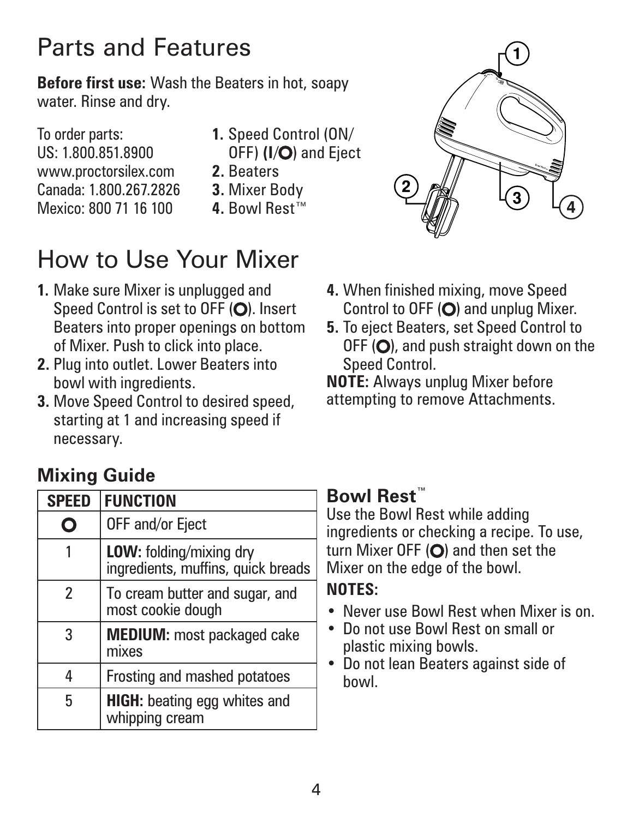## Parts and Features

**Before first use:** Wash the Beaters in hot, soapy water. Rinse and dry.

To order parts: US: 1.800.851.8900 www.proctorsilex.com Canada: 1.800.267.2826 Mexico: 800 71 16 100

- **1.** Speed Control (ON/ OFF) (I/O) and Eiect
- **2.** Beaters
- **3.** Mixer Body
- **4.** Bowl Rest™

# How to Use Your Mixer

- **1.** Make sure Mixer is unplugged and Speed Control is set to OFF (O). Insert Beaters into proper openings on bottom of Mixer. Push to click into place.
- **2.** Plug into outlet. Lower Beaters into bowl with ingredients.
- **3.** Move Speed Control to desired speed, starting at 1 and increasing speed if necessary.

#### **Mixing Guide**

| <b>SPEED</b> | <b>FUNCTION</b>                                               |
|--------------|---------------------------------------------------------------|
| O            | OFF and/or Eject                                              |
|              | LOW: folding/mixing dry<br>ingredients, muffins, quick breads |
| 2            | To cream butter and sugar, and<br>most cookie dough           |
| 3            | <b>MEDIUM:</b> most packaged cake<br>mixes                    |
| 4            | Frosting and mashed potatoes                                  |
| 5            | <b>HIGH:</b> beating egg whites and<br>whipping cream         |

#### **Bowl Rest**™

Use the Bowl Rest while adding ingredients or checking a recipe. To use, turn Mixer OFF  $\overline{O}$  and then set the Mixer on the edge of the bowl.

#### **NOTES:**

- **•** Never use Bowl Rest when Mixer is on.
- **•** Do not use Bowl Rest on small or plastic mixing bowls.
- **•** Do not lean Beaters against side of bowl.
- 
- **4.** When finished mixing, move Speed Control to OFF  $(O)$  and unplug Mixer.
- **5.** To eject Beaters, set Speed Control to  $OFF(O)$ , and push straight down on the Speed Control.

**NOTE:** Always unplug Mixer before attempting to remove Attachments.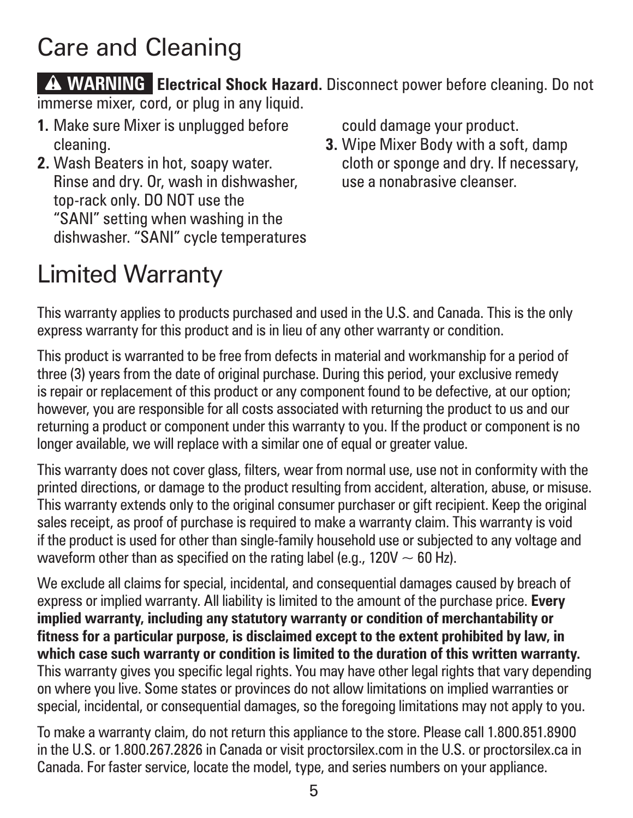## Care and Cleaning

**A WARNING Electrical Shock Hazard.** Disconnect power before cleaning. Do not immerse mixer, cord, or plug in any liquid.

- **1.** Make sure Mixer is unplugged before cleaning.
- **2.** Wash Beaters in hot, soapy water. Rinse and dry. Or, wash in dishwasher, top-rack only. DO NOT use the "SANI" setting when washing in the dishwasher. "SANI" cycle temperatures

could damage your product.

**3.** Wipe Mixer Body with a soft, damp cloth or sponge and dry. If necessary, use a nonabrasive cleanser.

## Limited Warranty

This warranty applies to products purchased and used in the U.S. and Canada. This is the only express warranty for this product and is in lieu of any other warranty or condition.

This product is warranted to be free from defects in material and workmanship for a period of three (3) years from the date of original purchase. During this period, your exclusive remedy is repair or replacement of this product or any component found to be defective, at our option; however, you are responsible for all costs associated with returning the product to us and our returning a product or component under this warranty to you. If the product or component is no longer available, we will replace with a similar one of equal or greater value.

This warranty does not cover glass, filters, wear from normal use, use not in conformity with the printed directions, or damage to the product resulting from accident, alteration, abuse, or misuse. This warranty extends only to the original consumer purchaser or gift recipient. Keep the original sales receipt, as proof of purchase is required to make a warranty claim. This warranty is void if the product is used for other than single-family household use or subjected to any voltage and waveform other than as specified on the rating label (e.g.,  $120V \sim 60$  Hz).

We exclude all claims for special, incidental, and consequential damages caused by breach of express or implied warranty. All liability is limited to the amount of the purchase price. **Every implied warranty, including any statutory warranty or condition of merchantability or fitness for a particular purpose, is disclaimed except to the extent prohibited by law, in which case such warranty or condition is limited to the duration of this written warranty.** This warranty gives you specific legal rights. You may have other legal rights that vary depending on where you live. Some states or provinces do not allow limitations on implied warranties or special, incidental, or consequential damages, so the foregoing limitations may not apply to you.

To make a warranty claim, do not return this appliance to the store. Please call 1.800.851.8900 in the U.S. or 1.800.267.2826 in Canada or visit proctorsilex.com in the U.S. or proctorsilex.ca in Canada. For faster service, locate the model, type, and series numbers on your appliance.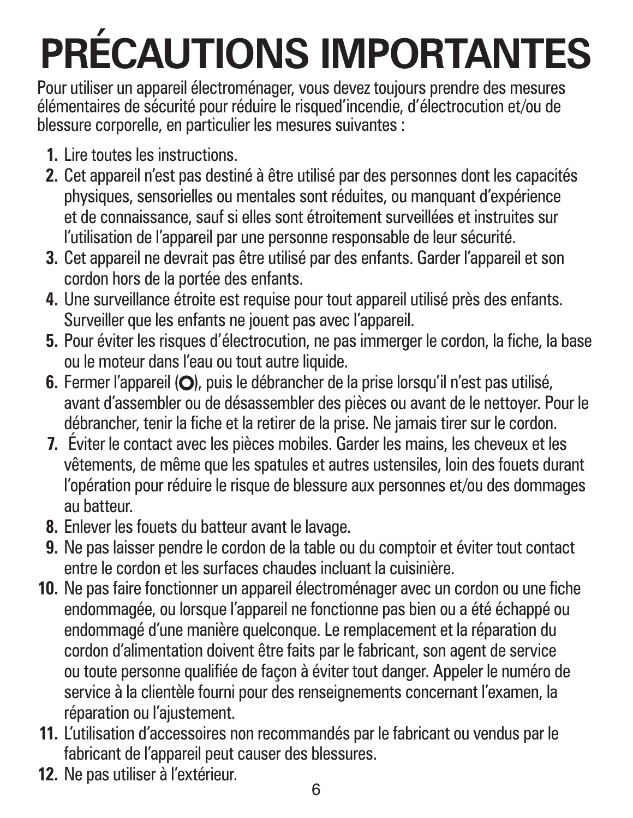# **PRÉCAUTIONS IMPORTANTES**

Pour utiliser un appareil électroménager, vous devez toujours prendre des mesures élémentaires de sécurité pour réduire le risqued'incendie, d'électrocution et/ou de blessure corporelle, en particulier les mesures suivantes :

- **1.** Lire toutes les instructions.
- **2.** Cet appareil n'est pas destiné à être utilisé par des personnes dont les capacités physiques, sensorielles ou mentales sont réduites, ou manquant d'expérience et de connaissance, sauf si elles sont étroitement surveillées et instruites sur l'utilisation de l'appareil par une personne responsable de leur sécurité.
- **3.** Cet appareil ne devrait pas être utilisé par des enfants. Garder l'appareil et son cordon hors de la portée des enfants.
- **4.** Une surveillance étroite est requise pour tout appareil utilisé près des enfants. Surveiller que les enfants ne jouent pas avec l'appareil.
- **5.** Pour éviter les risques d'électrocution, ne pas immerger le cordon, la fiche, la base ou le moteur dans l'eau ou tout autre liquide.
- 6. Fermer l'appareil (O), puis le débrancher de la prise lorsqu'il n'est pas utilisé, avant d'assembler ou de désassembler des pièces ou avant de le nettoyer. Pour le débrancher, tenir la fiche et la retirer de la prise. Ne jamais tirer sur le cordon.
- **7.** Éviter le contact avec les pièces mobiles. Garder les mains, les cheveux et les vêtements, de même que les spatules et autres ustensiles, loin des fouets durant l'opération pour réduire le risque de blessure aux personnes et/ou des dommages au batteur.
- **8.** Enlever les fouets du batteur avant le lavage.
- **9.** Ne pas laisser pendre le cordon de la table ou du comptoir et éviter tout contact entre le cordon et les surfaces chaudes incluant la cuisinière.
- **10.** Ne pas faire fonctionner un appareil électroménager avec un cordon ou une fiche endommagée, ou lorsque l'appareil ne fonctionne pas bien ou a été échappé ou endommagé d'une manière quelconque. Le remplacement et la réparation du cordon d'alimentation doivent être faits par le fabricant, son agent de service ou toute personne qualifiée de façon à éviter tout danger. Appeler le numéro de service à la clientèle fourni pour des renseignements concernant l'examen, la réparation ou l'ajustement.
- **11.** L'utilisation d'accessoires non recommandés par le fabricant ou vendus par le fabricant de l'appareil peut causer des blessures.
- **12.** Ne pas utiliser à l'extérieur.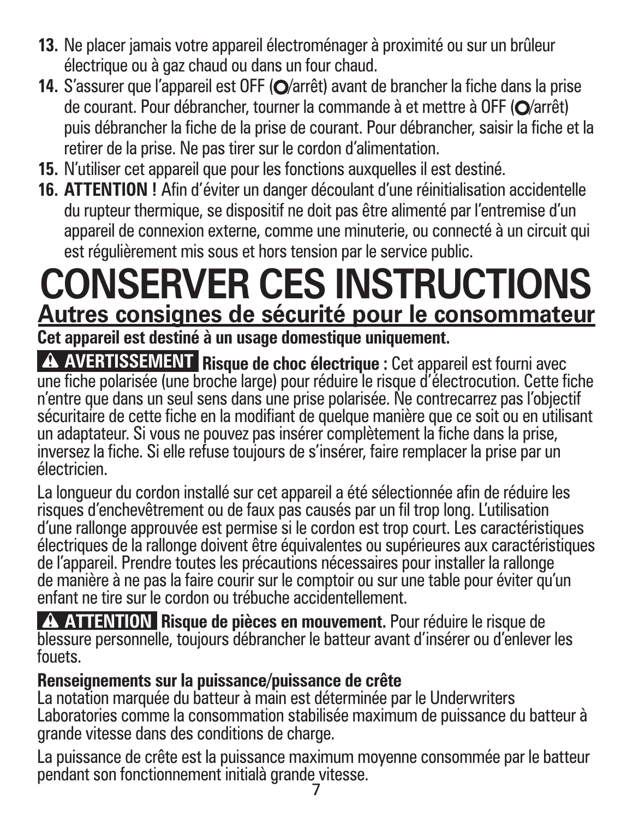- **13.** Ne placer jamais votre appareil électroménager à proximité ou sur un brûleur électrique ou à gaz chaud ou dans un four chaud.
- **14.** S'assurer que l'appareil est OFF (O/arrêt) avant de brancher la fiche dans la prise de courant. Pour débrancher, tourner la commande à et mettre à OFF (O/arrêt) puis débrancher la fiche de la prise de courant. Pour débrancher, saisir la fiche et la retirer de la prise. Ne pas tirer sur le cordon d'alimentation.
- **15.** N'utiliser cet appareil que pour les fonctions auxquelles il est destiné.
- **16. ATTENTION !** Afin d'éviter un danger découlant d'une réinitialisation accidentelle du rupteur thermique, se dispositif ne doit pas être alimenté par l'entremise d'un appareil de connexion externe, comme une minuterie, ou connecté à un circuit qui est régulièrement mis sous et hors tension par le service public.

# **CONSERVER CES INSTRUCTIONS Autres consignes de sécurité pour le consommateur**

**Cet appareil est destiné à un usage domestique uniquement.**

**AVERTISSEMENT** Risque de choc électrique : Cet appareil est fourni avec une fiche polarisée (une broche large) pour réduire le risque d'électrocution. Cette fiche n'entre que dans un seul sens dans une prise polarisée. Ne contrecarrez pas l'objectif sécuritaire de cette fiche en la modifiant de quelque manière que ce soit ou en utilisant un adaptateur. Si vous ne pouvez pas insérer complètement la fiche dans la prise, inversez la fiche. Si elle refuse toujours de s'insérer, faire remplacer la prise par un électricien.

La longueur du cordon installé sur cet appareil a été sélectionnée afin de réduire les risques d'enchevêtrement ou de faux pas causés par un fil trop long. L'utilisation d'une rallonge approuvée est permise si le cordon est trop court. Les caractéristiques électriques de la rallonge doivent être équivalentes ou supérieures aux caractéristiques de l'appareil. Prendre toutes les précautions nécessaires pour installer la rallonge de manière à ne pas la faire courir sur le comptoir ou sur une table pour éviter qu'un enfant ne tire sur le cordon ou trébuche accidentellement.

w **ATTENTION Risque de pièces en mouvement.** Pour réduire le risque de blessure personnelle, toujours débrancher le batteur avant d'insérer ou d'enlever les fouets.

#### **Renseignements sur la puissance/puissance de crête**

La notation marquée du batteur à main est déterminée par le Underwriters Laboratories comme la consommation stabilisée maximum de puissance du batteur à grande vitesse dans des conditions de charge.

La puissance de crête est la puissance maximum moyenne consommée par le batteur pendant son fonctionnement initialà grande vitesse.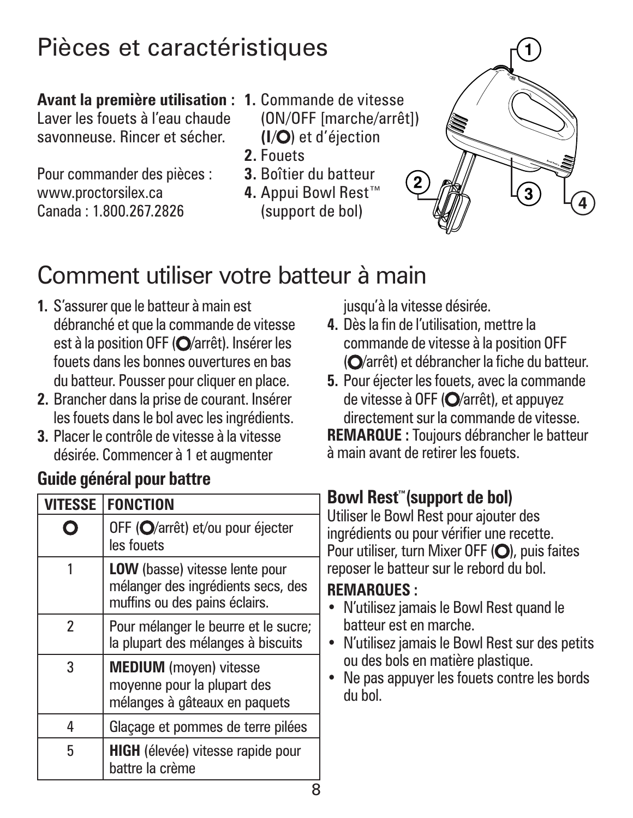## Pièces et caractéristiques

#### **Avant la première utilisation : 1.** Commande de vitesse

Laver les fouets à l'eau chaude savonneuse. Rincer et sécher.

Pour commander des pièces : www.proctorsilex.ca Canada : 1.800.267.2826

- (ON/OFF [marche/arrêt]) **(I**/ ) et d'éjection
- **2.** Fouets
- **3.** Boîtier du batteur
- **4.** Appui Bowl Rest™ (support de bol)



# Comment utiliser votre batteur à main

- **1.** S'assurer que le batteur à main est débranché et que la commande de vitesse est à la position OFF (O/arrêt). Insérer les fouets dans les bonnes ouvertures en bas du batteur. Pousser pour cliquer en place.
- **2.** Brancher dans la prise de courant. Insérer les fouets dans le bol avec les ingrédients.
- **3.** Placer le contrôle de vitesse à la vitesse désirée. Commencer à 1 et augmenter

#### **Guide général pour battre**

| <b>VITESSE</b> | <b>FONCTION</b>                                                                                              |
|----------------|--------------------------------------------------------------------------------------------------------------|
|                | OFF (O/arrêt) et/ou pour éjecter<br>les fouets                                                               |
|                | <b>LOW</b> (basse) vitesse lente pour<br>mélanger des ingrédients secs, des<br>muffins ou des pains éclairs. |
| 2              | Pour mélanger le beurre et le sucre;<br>la plupart des mélanges à biscuits                                   |
| 3              | <b>MEDIUM</b> (moyen) vitesse<br>moyenne pour la plupart des<br>mélanges à gâteaux en paquets                |
| 4              | Glaçage et pommes de terre pilées                                                                            |
| 5              | <b>HIGH</b> (élevée) vitesse rapide pour<br>battre la crème                                                  |

jusqu'à la vitesse désirée.

- **4.** Dès la fin de l'utilisation, mettre la commande de vitesse à la position OFF (O/arrêt) et débrancher la fiche du batteur.
- **5.** Pour éjecter les fouets, avec la commande de vitesse à OFF (O/arrêt), et appuyez directement sur la commande de vitesse.

**REMARQUE :** Toujours débrancher le batteur à main avant de retirer les fouets.

#### **Bowl Rest™(support de bol)**

Utiliser le Bowl Rest pour ajouter des ingrédients ou pour vérifier une recette. Pour utiliser, turn Mixer OFF  $($  $)$ , puis faites reposer le batteur sur le rebord du bol.

#### **REMARQUES :**

- **•** N'utilisez jamais le Bowl Rest quand le batteur est en marche.
- **•** N'utilisez jamais le Bowl Rest sur des petits ou des bols en matière plastique.
- **•** Ne pas appuyer les fouets contre les bords du bol.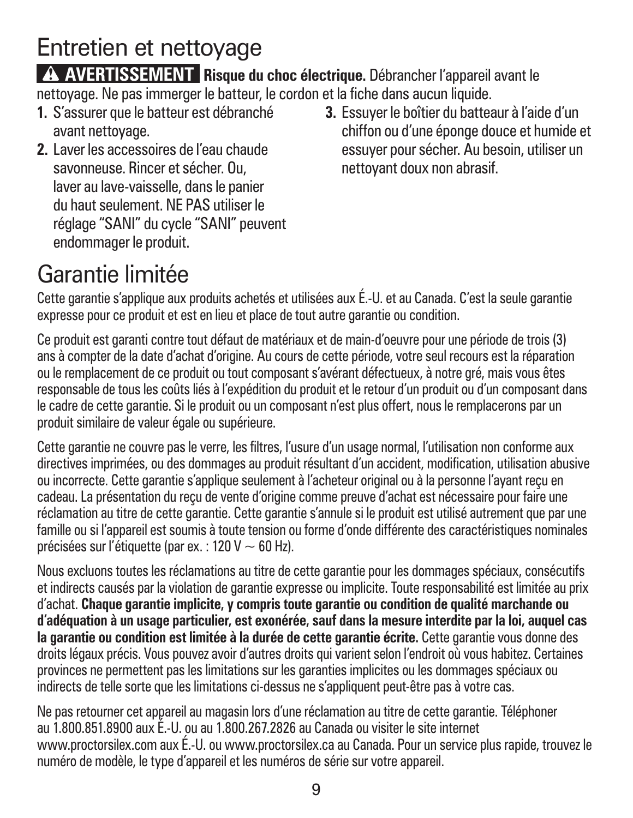# Entretien et nettoyage

**A AVERTISSEMENT** Risque du choc électrique. Débrancher l'appareil avant le nettoyage. Ne pas immerger le batteur, le cordon et la fiche dans aucun liquide.

- **1.** S'assurer que le batteur est débranché avant nettoyage.
- **2.** Laver les accessoires de l'eau chaude savonneuse. Rincer et sécher. Ou, laver au lave-vaisselle, dans le panier du haut seulement. NE PAS utiliser le réglage "SANI" du cycle "SANI" peuvent endommager le produit.
- **3.** Essuyer le boîtier du batteaur à l'aide d'un chiffon ou d'une éponge douce et humide et essuyer pour sécher. Au besoin, utiliser un nettoyant doux non abrasif.

# Garantie limitée

Cette garantie s'applique aux produits achetés et utilisées aux É.-U. et au Canada. C'est la seule garantie expresse pour ce produit et est en lieu et place de tout autre garantie ou condition.

Ce produit est garanti contre tout défaut de matériaux et de main-d'oeuvre pour une période de trois (3) ans à compter de la date d'achat d'origine. Au cours de cette période, votre seul recours est la réparation ou le remplacement de ce produit ou tout composant s'avérant défectueux, à notre gré, mais vous êtes responsable de tous les coûts liés à l'expédition du produit et le retour d'un produit ou d'un composant dans le cadre de cette garantie. Si le produit ou un composant n'est plus offert, nous le remplacerons par un produit similaire de valeur égale ou supérieure.

Cette garantie ne couvre pas le verre, les filtres, l'usure d'un usage normal, l'utilisation non conforme aux directives imprimées, ou des dommages au produit résultant d'un accident, modification, utilisation abusive ou incorrecte. Cette garantie s'applique seulement à l'acheteur original ou à la personne l'ayant reçu en cadeau. La présentation du reçu de vente d'origine comme preuve d'achat est nécessaire pour faire une réclamation au titre de cette garantie. Cette garantie s'annule si le produit est utilisé autrement que par une famille ou si l'appareil est soumis à toute tension ou forme d'onde différente des caractéristiques nominales précisées sur l'étiquette (par ex. : 120 V  $\sim$  60 Hz).

Nous excluons toutes les réclamations au titre de cette garantie pour les dommages spéciaux, consécutifs et indirects causés par la violation de garantie expresse ou implicite. Toute responsabilité est limitée au prix d'achat. **Chaque garantie implicite, y compris toute garantie ou condition de qualité marchande ou d'adéquation à un usage particulier, est exonérée, sauf dans la mesure interdite par la loi, auquel cas la garantie ou condition est limitée à la durée de cette garantie écrite.** Cette garantie vous donne des droits légaux précis. Vous pouvez avoir d'autres droits qui varient selon l'endroit où vous habitez. Certaines provinces ne permettent pas les limitations sur les garanties implicites ou les dommages spéciaux ou indirects de telle sorte que les limitations ci-dessus ne s'appliquent peut-être pas à votre cas.

Ne pas retourner cet appareil au magasin lors d'une réclamation au titre de cette garantie. Téléphoner au 1.800.851.8900 aux É.-U. ou au 1.800.267.2826 au Canada ou visiter le site internet www.proctorsilex.com aux É.-U. ou www.proctorsilex.ca au Canada. Pour un service plus rapide, trouvez le numéro de modèle, le type d'appareil et les numéros de série sur votre appareil.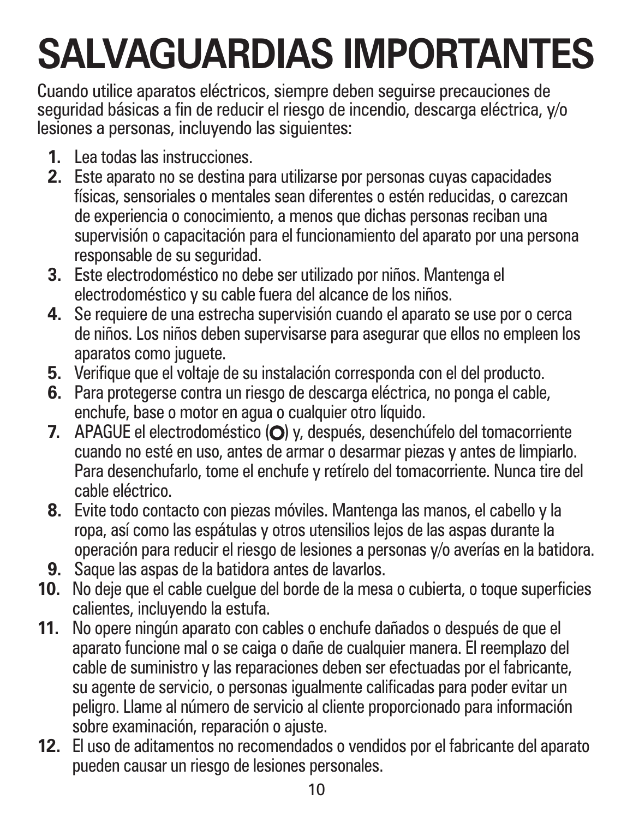# **SALVAGUARDIAS IMPORTANTES**

Cuando utilice aparatos eléctricos, siempre deben seguirse precauciones de seguridad básicas a fin de reducir el riesgo de incendio, descarga eléctrica, y/o lesiones a personas, incluyendo las siguientes:

- **1.** Lea todas las instrucciones.
- **2.** Este aparato no se destina para utilizarse por personas cuyas capacidades físicas, sensoriales o mentales sean diferentes o estén reducidas, o carezcan de experiencia o conocimiento, a menos que dichas personas reciban una supervisión o capacitación para el funcionamiento del aparato por una persona responsable de su seguridad.
- **3.** Este electrodoméstico no debe ser utilizado por niños. Mantenga el electrodoméstico y su cable fuera del alcance de los niños.
- **4.** Se requiere de una estrecha supervisión cuando el aparato se use por o cerca de niños. Los niños deben supervisarse para asegurar que ellos no empleen los aparatos como juguete.
- **5.** Verifique que el voltaje de su instalación corresponda con el del producto.
- **6.** Para protegerse contra un riesgo de descarga eléctrica, no ponga el cable, enchufe, base o motor en agua o cualquier otro líquido.
- **7.** APAGUE el electrodoméstico (O) y, después, desenchúfelo del tomacorriente cuando no esté en uso, antes de armar o desarmar piezas y antes de limpiarlo. Para desenchufarlo, tome el enchufe y retírelo del tomacorriente. Nunca tire del cable eléctrico.
- **8.** Evite todo contacto con piezas móviles. Mantenga las manos, el cabello y la ropa, así como las espátulas y otros utensilios lejos de las aspas durante la operación para reducir el riesgo de lesiones a personas y/o averías en la batidora.
- **9.** Saque las aspas de la batidora antes de lavarlos.
- **10.** No deje que el cable cuelgue del borde de la mesa o cubierta, o toque superficies calientes, incluyendo la estufa.
- **11.** No opere ningún aparato con cables o enchufe dañados o después de que el aparato funcione mal o se caiga o dañe de cualquier manera. El reemplazo del cable de suministro y las reparaciones deben ser efectuadas por el fabricante, su agente de servicio, o personas igualmente calificadas para poder evitar un peligro. Llame al número de servicio al cliente proporcionado para información sobre examinación, reparación o ajuste.
- **12.** El uso de aditamentos no recomendados o vendidos por el fabricante del aparato pueden causar un riesgo de lesiones personales.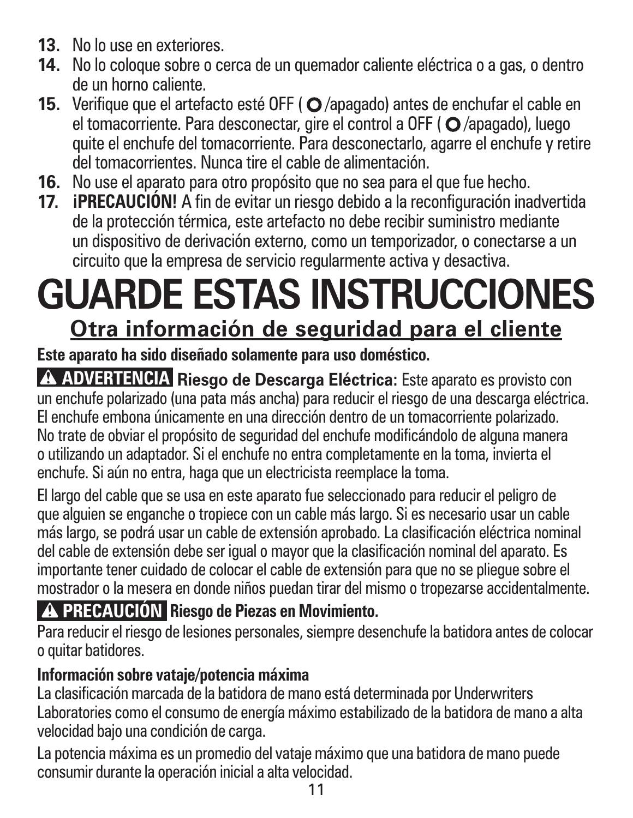- **13.** No lo use en exteriores.
- **14.** No lo coloque sobre o cerca de un quemador caliente eléctrica o a gas, o dentro de un horno caliente.
- **15.** Verifique que el artefacto esté OFF (O/apagado) antes de enchufar el cable en el tomacorriente. Para desconectar, gire el control a OFF (O /apagado), luego quite el enchufe del tomacorriente. Para desconectarlo, agarre el enchufe y retire del tomacorrientes. Nunca tire el cable de alimentación.
- **16.** No use el aparato para otro propósito que no sea para el que fue hecho.
- **17. ¡PRECAUCIÓN!** A fin de evitar un riesgo debido a la reconfiguración inadvertida de la protección térmica, este artefacto no debe recibir suministro mediante un dispositivo de derivación externo, como un temporizador, o conectarse a un circuito que la empresa de servicio regularmente activa y desactiva.

# **GUARDE ESTAS INSTRUCCIONES Otra información de seguridad para el cliente**

#### **Este aparato ha sido diseñado solamente para uso doméstico.**

A ADVERTENCIA Riesgo de Descarga Eléctrica: Este aparato es provisto con un enchufe polarizado (una pata más ancha) para reducir el riesgo de una descarga eléctrica. El enchufe embona únicamente en una dirección dentro de un tomacorriente polarizado. No trate de obviar el propósito de seguridad del enchufe modificándolo de alguna manera o utilizando un adaptador. Si el enchufe no entra completamente en la toma, invierta el enchufe. Si aún no entra, haga que un electricista reemplace la toma.

El largo del cable que se usa en este aparato fue seleccionado para reducir el peligro de que alguien se enganche o tropiece con un cable más largo. Si es necesario usar un cable más largo, se podrá usar un cable de extensión aprobado. La clasificación eléctrica nominal del cable de extensión debe ser igual o mayor que la clasificación nominal del aparato. Es importante tener cuidado de colocar el cable de extensión para que no se pliegue sobre el mostrador o la mesera en donde niños puedan tirar del mismo o tropezarse accidentalmente.

#### **PRECAUCIÓN Riesgo de Piezas en Movimiento.**

Para reducir el riesgo de lesiones personales, siempre desenchufe la batidora antes de colocar o quitar batidores.

#### **Información sobre vataje/potencia máxima**

La clasificación marcada de la batidora de mano está determinada por Underwriters Laboratories como el consumo de energía máximo estabilizado de la batidora de mano a alta velocidad bajo una condición de carga.

La potencia máxima es un promedio del vataje máximo que una batidora de mano puede consumir durante la operación inicial a alta velocidad.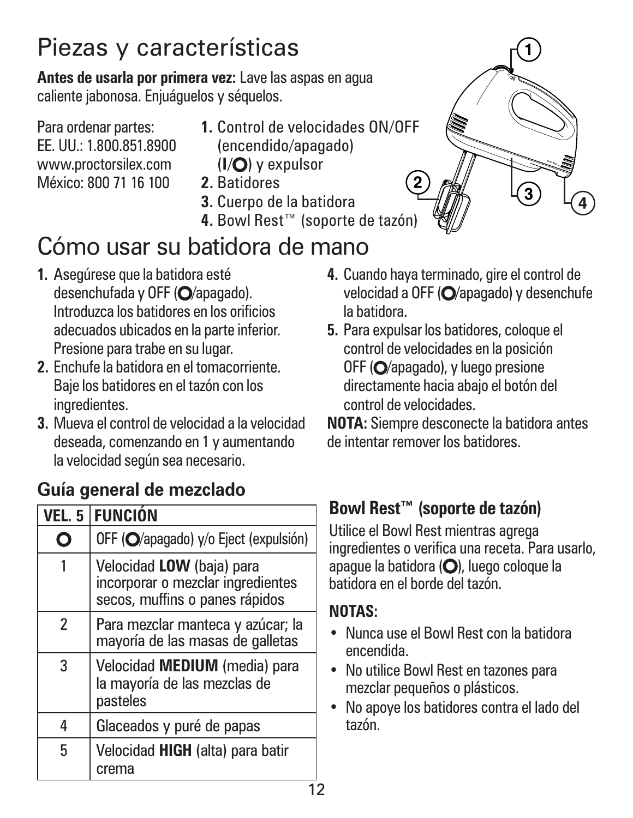# Piezas y características

**Antes de usarla por primera vez:** Lave las aspas en agua caliente jabonosa. Enjuáguelos y séquelos.

Para ordenar partes: EE. UU.: 1.800.851.8900 www.proctorsilex.com México: 800 71 16 100

- **1.** Control de velocidades ON/OFF
	- (encendido/apagado)
	- ( $I/O$ ) y expulsor
- **2.** Batidores
- **3.** Cuerpo de la batidora
- **4.** Bowl Rest™ (soporte de tazón)

### Cómo usar su batidora de mano

- **1.** Asegúrese que la batidora esté desenchufada y OFF (O/apagado). Introduzca los batidores en los orificios adecuados ubicados en la parte inferior. Presione para trabe en su lugar.
- **2.** Enchufe la batidora en el tomacorriente. Baje los batidores en el tazón con los ingredientes.
- **3.** Mueva el control de velocidad a la velocidad deseada, comenzando en 1 y aumentando la velocidad según sea necesario.

#### **Guía general de mezclado**

|   | VEL. 5   FUNCIÓN                                                                                 |
|---|--------------------------------------------------------------------------------------------------|
|   | OFF (O/apagado) y/o Eject (expulsión)                                                            |
|   | Velocidad LOW (baja) para<br>incorporar o mezclar ingredientes<br>secos, muffins o panes rápidos |
| 2 | Para mezclar manteca y azúcar; la<br>mayoría de las masas de galletas                            |
| 3 | Velocidad MEDIUM (media) para<br>la mayoría de las mezclas de<br>pasteles                        |
| 4 | Glaceados y puré de papas                                                                        |
| 5 | Velocidad HIGH (alta) para batir<br>crema                                                        |

- **4.** Cuando haya terminado, gire el control de velocidad a OFF  $\overline{O}$  apagado) y desenchufe la batidora.
- **5.** Para expulsar los batidores, coloque el control de velocidades en la posición OFF (O/apagado), y luego presione directamente hacia abajo el botón del control de velocidades.

**NOTA:** Siempre desconecte la batidora antes de intentar remover los batidores.

#### **Bowl Rest™ (soporte de tazón)**

Utilice el Bowl Rest mientras agrega ingredientes o verifica una receta. Para usarlo, apague la batidora (O), luego coloque la batidora en el borde del tazón.

#### **NOTAS:**

- **•** Nunca use el Bowl Rest con la batidora encendida.
- **•** No utilice Bowl Rest en tazones para mezclar pequeños o plásticos.
- **•** No apoye los batidores contra el lado del tazón.

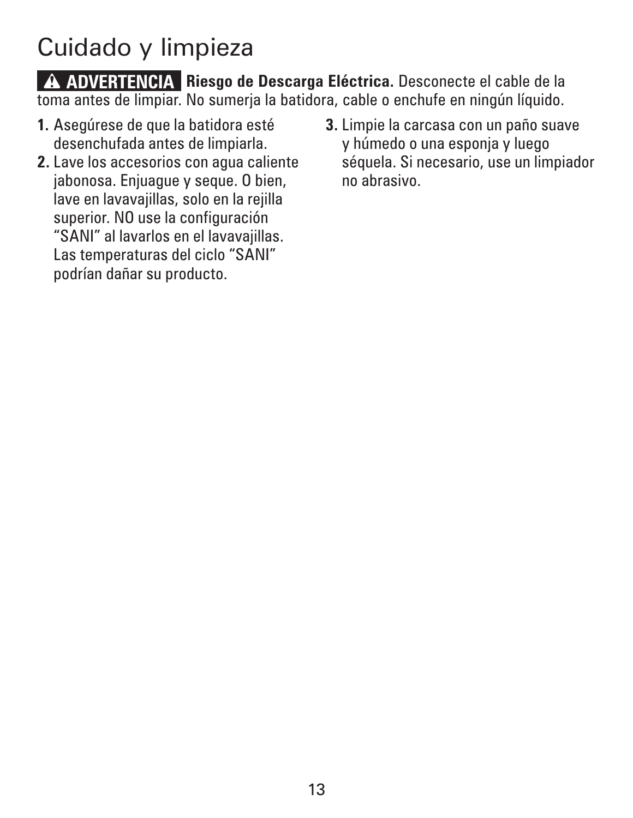# Cuidado y limpieza

w **ADVERTENCIA Riesgo de Descarga Eléctrica.** Desconecte el cable de la toma antes de limpiar. No sumerja la batidora, cable o enchufe en ningún líquido.

- **1.** Asegúrese de que la batidora esté desenchufada antes de limpiarla.
- **2.** Lave los accesorios con agua caliente jabonosa. Enjuague y seque. O bien, lave en lavavajillas, solo en la rejilla superior. NO use la configuración "SANI" al lavarlos en el lavavajillas. Las temperaturas del ciclo "SANI" podrían dañar su producto.
- **3.** Limpie la carcasa con un paño suave y húmedo o una esponja y luego séquela. Si necesario, use un limpiador no abrasivo.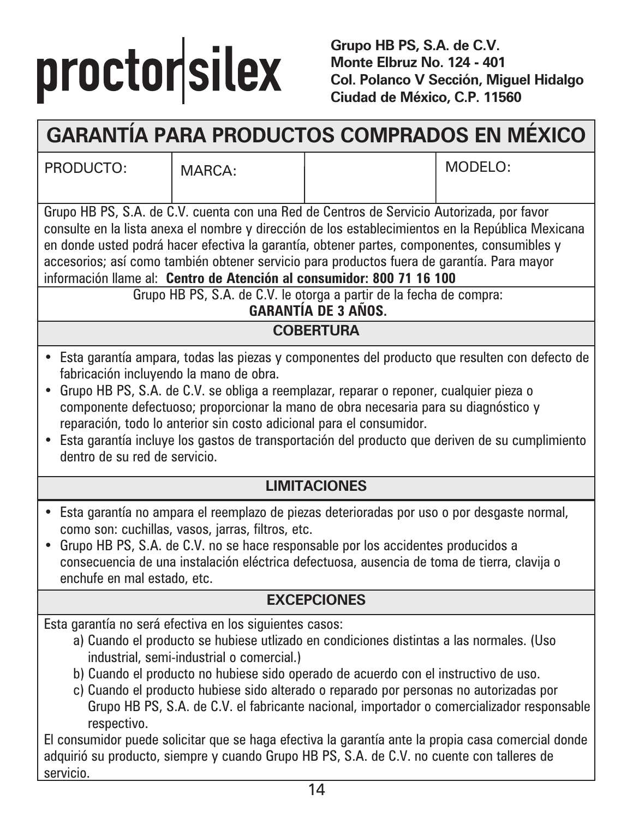# proctorsilex

**Grupo HB PS, S.A. de C.V. Monte Elbruz No. 124 - 401 Col. Polanco V Sección, Miguel Hidalgo Ciudad de México, C.P. 11560**

## **GARANTÍA PARA PRODUCTOS COMPRADOS EN MÉXICO**

PRODUCTO: MARCA:  $\vert$  MODELO:

Grupo HB PS, S.A. de C.V. cuenta con una Red de Centros de Servicio Autorizada, por favor consulte en la lista anexa el nombre y dirección de los establecimientos en la República Mexicana en donde usted podrá hacer efectiva la garantía, obtener partes, componentes, consumibles y accesorios; así como también obtener servicio para productos fuera de garantía. Para mayor información llame al: **Centro de Atención al consumidor: 800 71 16 100** 

Grupo HB PS, S.A. de C.V. le otorga a partir de la fecha de compra:

#### **GARANTÍA DE 3 AÑOS.**

#### **COBERTURA**

- Esta garantía ampara, todas las piezas y componentes del producto que resulten con defecto de fabricación incluyendo la mano de obra.
- Grupo HB PS, S.A. de C.V. se obliga a reemplazar, reparar o reponer, cualquier pieza o componente defectuoso; proporcionar la mano de obra necesaria para su diagnóstico y reparación, todo lo anterior sin costo adicional para el consumidor.
- Esta garantía incluye los gastos de transportación del producto que deriven de su cumplimiento dentro de su red de servicio.

#### **LIMITACIONES**

- Esta garantía no ampara el reemplazo de piezas deterioradas por uso o por desgaste normal, como son: cuchillas, vasos, jarras, filtros, etc.
- Grupo HB PS, S.A. de C.V. no se hace responsable por los accidentes producidos a consecuencia de una instalación eléctrica defectuosa, ausencia de toma de tierra, clavija o enchufe en mal estado, etc.

#### **EXCEPCIONES**

Esta garantía no será efectiva en los siguientes casos:

- a) Cuando el producto se hubiese utlizado en condiciones distintas a las normales. (Uso industrial, semi-industrial o comercial.)
- b) Cuando el producto no hubiese sido operado de acuerdo con el instructivo de uso.
- c) Cuando el producto hubiese sido alterado o reparado por personas no autorizadas por Grupo HB PS, S.A. de C.V. el fabricante nacional, importador o comercializador responsable respectivo.

El consumidor puede solicitar que se haga efectiva la garantía ante la propia casa comercial donde adquirió su producto, siempre y cuando Grupo HB PS, S.A. de C.V. no cuente con talleres de servicio.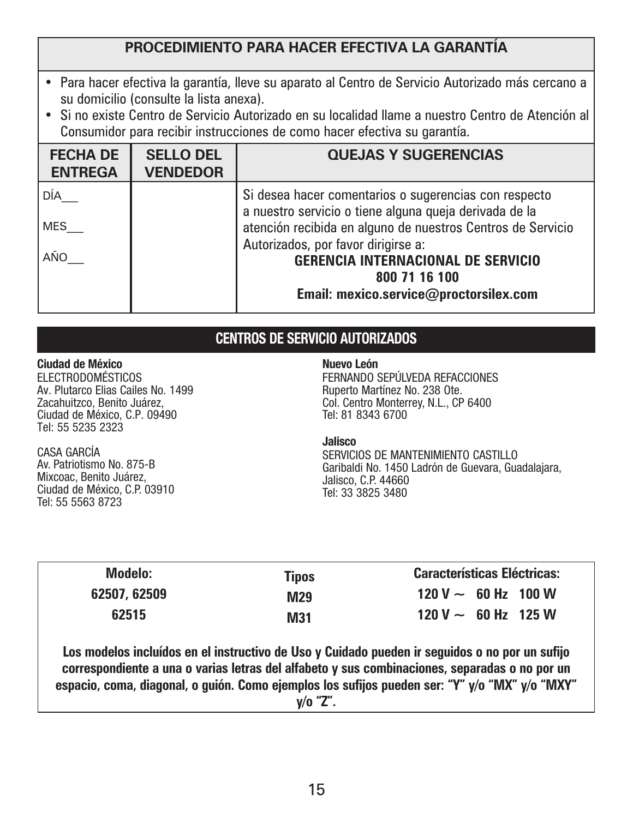#### **PROCEDIMIENTO PARA HACER EFECTIVA LA GARANTÍA**

- Para hacer efectiva la garantía, lleve su aparato al Centro de Servicio Autorizado más cercano a su domicilio (consulte la lista anexa).
- Si no existe Centro de Servicio Autorizado en su localidad llame a nuestro Centro de Atención al Consumidor para recibir instrucciones de como hacer efectiva su garantía.

| <b>FECHA DE</b><br><b>ENTREGA</b> | <b>SELLO DEL</b><br><b>VENDEDOR</b> | <b>QUEJAS Y SUGERENCIAS</b>                                                                                                                                                                                                                                        |
|-----------------------------------|-------------------------------------|--------------------------------------------------------------------------------------------------------------------------------------------------------------------------------------------------------------------------------------------------------------------|
| DÍA<br><b>MES</b><br>AÑO          |                                     | Si desea hacer comentarios o sugerencias con respecto<br>a nuestro servicio o tiene alguna queja derivada de la<br>atención recibida en alguno de nuestros Centros de Servicio<br>Autorizados, por favor dirigirse a:<br><b>GERENCIA INTERNACIONAL DE SERVICIO</b> |
|                                   |                                     | 800 71 16 100<br>Email: mexico.service@proctorsilex.com                                                                                                                                                                                                            |

#### CENTROS DE SERVICIO AUTORIZADOS

| Ciudad de México<br><b>ELECTRODOMÉSTICOS</b><br>Av. Plutarco Elias Cailes No. 1499<br>Zacahuitzco, Benito Juárez.<br>Ciudad de México, C.P. 09490<br>Tel: 55 5235 2323 | Nuevo León<br>FERNANDO SEPÚLVEDA REFACCIONES<br>Ruperto Martínez No. 238 Ote.<br>Col. Centro Monterrey, N.L., CP 6400<br>Tel: 81 8343 6700 |
|------------------------------------------------------------------------------------------------------------------------------------------------------------------------|--------------------------------------------------------------------------------------------------------------------------------------------|
| CASA GARCÍA                                                                                                                                                            | Jalisco                                                                                                                                    |
| Av. Patriotismo No. 875-B                                                                                                                                              | SERVICIOS DE MANTENIMIENTO CASTILLO                                                                                                        |
| Mixcoac. Benito Juárez.                                                                                                                                                | Garibaldi No. 1450 Ladrón de Guevara, Guadalaiara.                                                                                         |
| Ciudad de México, C.P. 03910                                                                                                                                           | Jalisco, C.P. 44660                                                                                                                        |
| Tel: 55 5563 8723                                                                                                                                                      | Tel: 33 3825 3480                                                                                                                          |

|  | <b>Características Eléctricas:</b> | <b>Tipos</b> | Modelo:      |
|--|------------------------------------|--------------|--------------|
|  | $120 V \sim 60 Hz$ 100 W           | M29          | 62507, 62509 |
|  | $120 V \sim 60 Hz$ 125 W           | M31          | 62515        |
|  |                                    |              |              |

**Los modelos incluídos en el instructivo de Uso y Cuidado pueden ir seguidos o no por un sufijo correspondiente a una o varias letras del alfabeto y sus combinaciones, separadas o no por un espacio, coma, diagonal, o guión. Como ejemplos los sufijos pueden ser: "Y" y/o "MX" y/o "MXY" y/o "Z".**